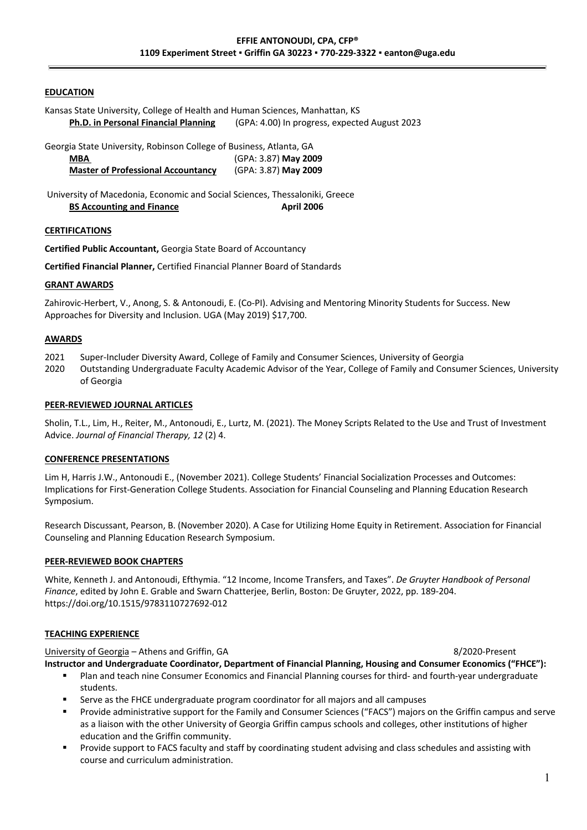### **EDUCATION**

Kansas State University, College of Health and Human Sciences, Manhattan, KS **Ph.D. in Personal Financial Planning** (GPA: 4.00) In progress, expected August 2023

Georgia State University, Robinson College of Business, Atlanta, GA

| <b>MBA</b>                                | (GPA: 3.87) May 2009 |
|-------------------------------------------|----------------------|
| <b>Master of Professional Accountancy</b> | (GPA: 3.87) May 2009 |

University of Macedonia, Economic and Social Sciences, Thessaloniki, Greece **BS Accounting and Finance April 2006** 

### **CERTIFICATIONS**

**Certified Public Accountant,** Georgia State Board of Accountancy

**Certified Financial Planner,** Certified Financial Planner Board of Standards

### **GRANT AWARDS**

Zahirovic-Herbert, V., Anong, S. & Antonoudi, E. (Co-PI). Advising and Mentoring Minority Students for Success. New Approaches for Diversity and Inclusion. UGA (May 2019) \$17,700.

## **AWARDS**

- 2021 Super-Includer Diversity Award, College of Family and Consumer Sciences, University of Georgia
- 2020 Outstanding Undergraduate Faculty Academic Advisor of the Year, College of Family and Consumer Sciences, University of Georgia

### **PEER-REVIEWED JOURNAL ARTICLES**

Sholin, T.L., Lim, H., Reiter, M., Antonoudi, E., Lurtz, M. (2021). The Money Scripts Related to the Use and Trust of Investment Advice. *Journal of Financial Therapy, 12* (2) 4.

### **CONFERENCE PRESENTATIONS**

Lim H, Harris J.W., Antonoudi E., (November 2021). College Students' Financial Socialization Processes and Outcomes: Implications for First-Generation College Students. Association for Financial Counseling and Planning Education Research Symposium.

Research Discussant, Pearson, B. (November 2020). A Case for Utilizing Home Equity in Retirement. Association for Financial Counseling and Planning Education Research Symposium.

## **PEER-REVIEWED BOOK CHAPTERS**

White, Kenneth J. and Antonoudi, Efthymia. "12 Income, Income Transfers, and Taxes". *De Gruyter Handbook of Personal Finance*, edited by John E. Grable and Swarn Chatterjee, Berlin, Boston: De Gruyter, 2022, pp. 189-204. https://doi.org/10.1515/9783110727692-012

## **TEACHING EXPERIENCE**

University of Georgia – Athens and Griffin, GA 8/2020-Present

**Instructor and Undergraduate Coordinator, Department of Financial Planning, Housing and Consumer Economics ("FHCE"):**

- Plan and teach nine Consumer Economics and Financial Planning courses for third- and fourth-year undergraduate students.
- Serve as the FHCE undergraduate program coordinator for all majors and all campuses
- § Provide administrative support for the Family and Consumer Sciences ("FACS") majors on the Griffin campus and serve as a liaison with the other University of Georgia Griffin campus schools and colleges, other institutions of higher education and the Griffin community.
- Provide support to FACS faculty and staff by coordinating student advising and class schedules and assisting with course and curriculum administration.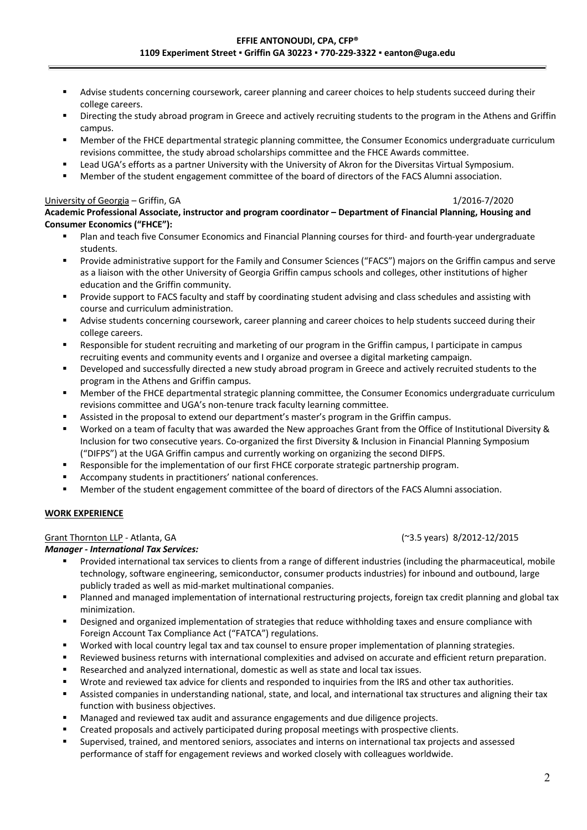- Advise students concerning coursework, career planning and career choices to help students succeed during their college careers.
- Directing the study abroad program in Greece and actively recruiting students to the program in the Athens and Griffin campus.
- § Member of the FHCE departmental strategic planning committee, the Consumer Economics undergraduate curriculum revisions committee, the study abroad scholarships committee and the FHCE Awards committee.
- § Lead UGA's efforts as a partner University with the University of Akron for the Diversitas Virtual Symposium.
- § Member of the student engagement committee of the board of directors of the FACS Alumni association.

## University of Georgia – Griffin, GA 1/2016-7/2020

## **Academic Professional Associate, instructor and program coordinator – Department of Financial Planning, Housing and Consumer Economics ("FHCE"):**

- Plan and teach five Consumer Economics and Financial Planning courses for third- and fourth-year undergraduate students.
- § Provide administrative support for the Family and Consumer Sciences ("FACS") majors on the Griffin campus and serve as a liaison with the other University of Georgia Griffin campus schools and colleges, other institutions of higher education and the Griffin community.
- Provide support to FACS faculty and staff by coordinating student advising and class schedules and assisting with course and curriculum administration.
- Advise students concerning coursework, career planning and career choices to help students succeed during their college careers.
- Responsible for student recruiting and marketing of our program in the Griffin campus, I participate in campus recruiting events and community events and I organize and oversee a digital marketing campaign.
- Developed and successfully directed a new study abroad program in Greece and actively recruited students to the program in the Athens and Griffin campus.
- § Member of the FHCE departmental strategic planning committee, the Consumer Economics undergraduate curriculum revisions committee and UGA's non-tenure track faculty learning committee.
- Assisted in the proposal to extend our department's master's program in the Griffin campus.
- § Worked on a team of faculty that was awarded the New approaches Grant from the Office of Institutional Diversity & Inclusion for two consecutive years. Co-organized the first Diversity & Inclusion in Financial Planning Symposium ("DIFPS") at the UGA Griffin campus and currently working on organizing the second DIFPS.
- Responsible for the implementation of our first FHCE corporate strategic partnership program.
- Accompany students in practitioners' national conferences.
- Member of the student engagement committee of the board of directors of the FACS Alumni association.

## **WORK EXPERIENCE**

## Grant Thornton LLP - Atlanta, GA (~3.5 years) 8/2012-12/2015

## *Manager - International Tax Services:*

- § Provided international tax services to clients from a range of different industries (including the pharmaceutical, mobile technology, software engineering, semiconductor, consumer products industries) for inbound and outbound, large publicly traded as well as mid-market multinational companies.
- § Planned and managed implementation of international restructuring projects, foreign tax credit planning and global tax minimization.
- Designed and organized implementation of strategies that reduce withholding taxes and ensure compliance with Foreign Account Tax Compliance Act ("FATCA") regulations.
- Worked with local country legal tax and tax counsel to ensure proper implementation of planning strategies.
- § Reviewed business returns with international complexities and advised on accurate and efficient return preparation.
- Researched and analyzed international, domestic as well as state and local tax issues.
- Wrote and reviewed tax advice for clients and responded to inquiries from the IRS and other tax authorities.
- Assisted companies in understanding national, state, and local, and international tax structures and aligning their tax function with business objectives.
- § Managed and reviewed tax audit and assurance engagements and due diligence projects.
- § Created proposals and actively participated during proposal meetings with prospective clients.
- § Supervised, trained, and mentored seniors, associates and interns on international tax projects and assessed performance of staff for engagement reviews and worked closely with colleagues worldwide.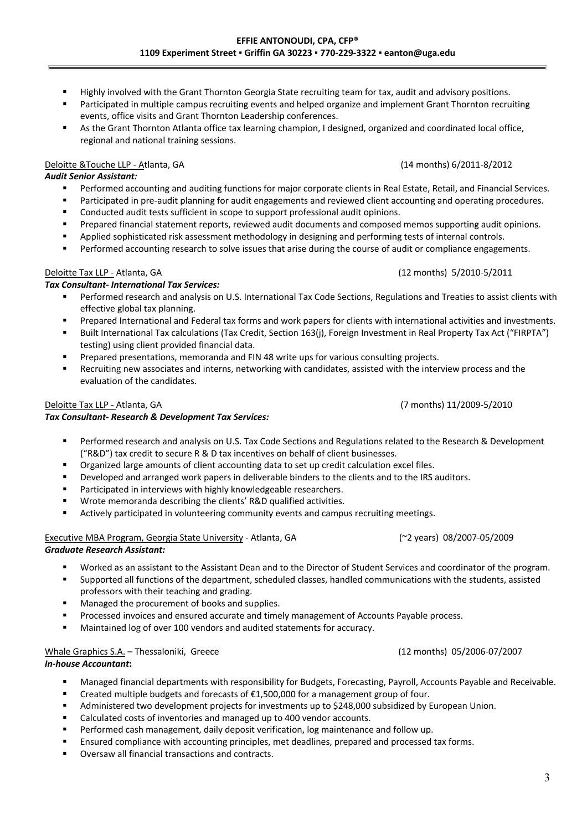- Highly involved with the Grant Thornton Georgia State recruiting team for tax, audit and advisory positions.
- Participated in multiple campus recruiting events and helped organize and implement Grant Thornton recruiting events, office visits and Grant Thornton Leadership conferences.
- As the Grant Thornton Atlanta office tax learning champion, I designed, organized and coordinated local office, regional and national training sessions.

## Deloitte &Touche LLP - Atlanta, GA (14 months) 6/2011-8/2012

- *Audit Senior Assistant:* 
	- Performed accounting and auditing functions for major corporate clients in Real Estate, Retail, and Financial Services.
	- **■** Participated in pre-audit planning for audit engagements and reviewed client accounting and operating procedures.
	- § Conducted audit tests sufficient in scope to support professional audit opinions.
	- § Prepared financial statement reports, reviewed audit documents and composed memos supporting audit opinions.
	- Applied sophisticated risk assessment methodology in designing and performing tests of internal controls.
	- **•** Performed accounting research to solve issues that arise during the course of audit or compliance engagements.

# Deloitte Tax LLP - Atlanta, GA (12 months) 5/2010-5/2011

## *Tax Consultant- International Tax Services:*

- Performed research and analysis on U.S. International Tax Code Sections, Regulations and Treaties to assist clients with effective global tax planning.
- Prepared International and Federal tax forms and work papers for clients with international activities and investments.
- § Built International Tax calculations (Tax Credit, Section 163(j), Foreign Investment in Real Property Tax Act ("FIRPTA") testing) using client provided financial data.
- § Prepared presentations, memoranda and FIN 48 write ups for various consulting projects.
- Recruiting new associates and interns, networking with candidates, assisted with the interview process and the evaluation of the candidates.

## Deloitte Tax LLP - Atlanta, GA (7 months) 11/2009-5/2010

# *Tax Consultant- Research & Development Tax Services:*

- Performed research and analysis on U.S. Tax Code Sections and Regulations related to the Research & Development ("R&D") tax credit to secure R & D tax incentives on behalf of client businesses.
- § Organized large amounts of client accounting data to set up credit calculation excel files.
- Developed and arranged work papers in deliverable binders to the clients and to the IRS auditors.
- Participated in interviews with highly knowledgeable researchers.
- Wrote memoranda describing the clients' R&D qualified activities.
- Actively participated in volunteering community events and campus recruiting meetings.

# Executive MBA Program, Georgia State University - Atlanta, GA(~2 years)08/2007-05/2009

## *Graduate Research Assistant:*

- Worked as an assistant to the Assistant Dean and to the Director of Student Services and coordinator of the program.
- § Supported all functions of the department, scheduled classes, handled communications with the students, assisted professors with their teaching and grading.
- Managed the procurement of books and supplies.
- **Processed invoices and ensured accurate and timely management of Accounts Payable process.**
- Maintained log of over 100 vendors and audited statements for accuracy.

# Whale Graphics S.A. – Thessaloniki, Greece (12 months)05/2006-07/2007

# *In-house Accountant***:**

- **■** Managed financial departments with responsibility for Budgets, Forecasting, Payroll, Accounts Payable and Receivable.
- **•** Created multiple budgets and forecasts of  $£1,500,000$  for a management group of four.
- Administered two development projects for investments up to \$248,000 subsidized by European Union.
- Calculated costs of inventories and managed up to 400 vendor accounts.
- § Performed cash management, daily deposit verification, log maintenance and follow up.
- Ensured compliance with accounting principles, met deadlines, prepared and processed tax forms.
- § Oversaw all financial transactions and contracts.